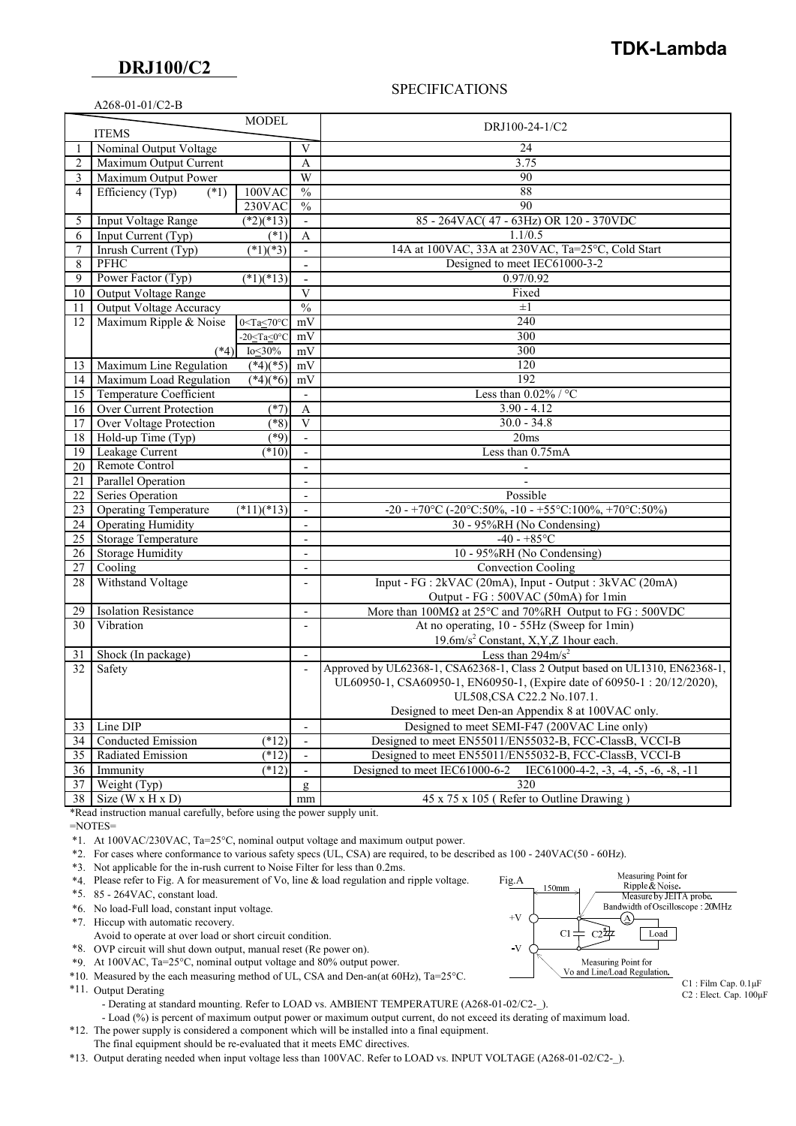### **DRJ100/C2**

## **TDK-Lambda**

### A268-01-01/C2-B

#### SPECIFICATIONS

|        |                                                | <b>MODEL</b>                 |                               | DRJ100-24-1/C2                                                                                 |
|--------|------------------------------------------------|------------------------------|-------------------------------|------------------------------------------------------------------------------------------------|
|        | <b>ITEMS</b>                                   |                              |                               |                                                                                                |
| 1      | Nominal Output Voltage                         |                              | V                             | 24<br>3.75                                                                                     |
| 2      | Maximum Output Current<br>Maximum Output Power |                              | A                             | 90                                                                                             |
| 3      | Efficiency (Typ)                               | $100$ VAC                    | W<br>$\frac{0}{0}$            | 88                                                                                             |
| 4      | $(*1)$                                         | 230VAC                       | $\%$                          | 90                                                                                             |
|        | <b>Input Voltage Range</b>                     | $(*2)(*13)$                  |                               | 85 - 264VAC(47 - 63Hz) OR 120 - 370VDC                                                         |
| 5      | Input Current (Typ)                            | (1)                          |                               | 1.1/0.5                                                                                        |
| 6<br>7 | Inrush Current (Typ)                           | $\sqrt{(*1)(*3)}$            | A<br>$\overline{\phantom{a}}$ | 14A at 100VAC, 33A at 230VAC, Ta=25°C, Cold Start                                              |
| 8      | PFHC                                           |                              | $\blacksquare$                | Designed to meet IEC61000-3-2                                                                  |
| 9      | Power Factor (Typ)                             | $\sqrt{(*1)(*13)}$           | $\blacksquare$                | 0.97/0.92                                                                                      |
| 10     | Output Voltage Range                           |                              | $\overline{\mathbf{V}}$       | Fixed                                                                                          |
| 11     | Output Voltage Accuracy                        |                              | $\frac{0}{0}$                 | $\pm 1$                                                                                        |
| 12     | Maximum Ripple & Noise                         | $0 <$ Ta $\leq 70$ °C        | mV                            | 240                                                                                            |
|        |                                                | $-20 <$ Ta $<$ 0 $\degree$ C | mV                            | 300                                                                                            |
|        | $(*4)$                                         | Io<30%                       | mV                            | 300                                                                                            |
| 13     | Maximum Line Regulation                        | $(*4)(*5)$                   | mV                            | 120                                                                                            |
| 14     | Maximum Load Regulation                        | $(*4)(*6)$                   | mV                            | 192                                                                                            |
| 15     | <b>Temperature Coefficient</b>                 |                              | $\overline{\phantom{a}}$      | Less than $0.02\%$ / °C                                                                        |
| 16     | Over Current Protection                        | $(*7)$                       | A                             | $3.90 - 4.12$                                                                                  |
| 17     | Over Voltage Protection                        | $(*8)$                       | $\overline{\mathbf{V}}$       | $30.0 - 34.8$                                                                                  |
| 18     | Hold-up Time (Typ)                             | $(*9)$                       | $\overline{\phantom{a}}$      | 20ms                                                                                           |
| 19     | Leakage Current                                | $(*10)$                      | $\overline{a}$                | Less than 0.75mA                                                                               |
| 20     | Remote Control                                 |                              | $\overline{a}$                |                                                                                                |
| 21     | <b>Parallel Operation</b>                      |                              |                               |                                                                                                |
| 22     | Series Operation                               |                              | $\overline{\phantom{a}}$      | Possible                                                                                       |
| 23     | <b>Operating Temperature</b>                   | $(*11)(*13)$                 | $\overline{\phantom{a}}$      | -20 - $+70^{\circ}$ C (-20 $^{\circ}$ C:50%, -10 - $+55^{\circ}$ C:100%, +70 $^{\circ}$ C:50%) |
| 24     | <b>Operating Humidity</b>                      |                              | $\overline{\phantom{a}}$      | 30 - 95%RH (No Condensing)                                                                     |
| 25     | Storage Temperature                            |                              | $\overline{a}$                | $-40 - +85$ °C                                                                                 |
| 26     | <b>Storage Humidity</b>                        |                              | $\overline{a}$                | 10 - 95%RH (No Condensing)                                                                     |
| $27\,$ | Cooling                                        |                              | $\overline{\phantom{a}}$      | Convection Cooling                                                                             |
| 28     | Withstand Voltage                              |                              | $\overline{a}$                | Input - FG : 2kVAC (20mA), Input - Output : 3kVAC (20mA)                                       |
|        |                                                |                              |                               | Output - FG : 500VAC (50mA) for 1min                                                           |
| 29     | <b>Isolation Resistance</b>                    |                              | $\qquad \qquad \blacksquare$  | More than $100M\Omega$ at $25^{\circ}$ C and $70\%$ RH Output to FG : $500VDC$                 |
| 30     | Vibration                                      |                              | $\overline{\phantom{a}}$      | At no operating, 10 - 55Hz (Sweep for 1min)                                                    |
|        |                                                |                              |                               | 19.6m/s <sup>2</sup> Constant, X,Y,Z 1hour each.                                               |
| 31     | Shock (In package)                             |                              | $\overline{\phantom{a}}$      | Less than $294 \text{m/s}^2$                                                                   |
| 32     | Safety                                         |                              | $\overline{\phantom{a}}$      | Approved by UL62368-1, CSA62368-1, Class 2 Output based on UL1310, EN62368-1,                  |
|        |                                                |                              |                               | UL60950-1, CSA60950-1, EN60950-1, (Expire date of 60950-1: 20/12/2020),                        |
|        |                                                |                              |                               | UL508, CSA C22.2 No.107.1.                                                                     |
|        |                                                |                              |                               | Designed to meet Den-an Appendix 8 at 100VAC only.                                             |
| 33     | Line DIP                                       |                              | $\overline{\phantom{a}}$      | Designed to meet SEMI-F47 (200VAC Line only)                                                   |
| 34     | <b>Conducted Emission</b>                      | $(*12)$                      |                               | Designed to meet EN55011/EN55032-B, FCC-ClassB, VCCI-B                                         |
| 35     | Radiated Emission                              | $(*12)$                      | $\blacksquare$                | Designed to meet EN55011/EN55032-B, FCC-ClassB, VCCI-B                                         |
| 36     | Immunity                                       | $(*12)$                      | $\overline{\phantom{a}}$      | Designed to meet IEC61000-6-2<br>IEC61000-4-2, -3, -4, -5, -6, -8, -11                         |
| 37     | Weight (Typ)                                   |                              | $\mathfrak{Q}$                | 320                                                                                            |
| 38     | Size ( $W \times H \times D$ )                 |                              | mm                            | 45 x 75 x 105 (Refer to Outline Drawing)                                                       |

\*Read instruction manual carefully, before using the power supply unit.

=NOTES=

\*1. At 100VAC/230VAC, Ta=25°C, nominal output voltage and maximum output power.

\*2. For cases where conformance to various safety specs (UL, CSA) are required, to be described as 100 - 240VAC(50 - 60Hz).

\*3. Not applicable for the in-rush current to Noise Filter for less than 0.2ms.

\*4. Please refer to Fig. A for measurement of Vo, line & load regulation and ripple voltage. Fig.A

\*5. 85 - 264VAC, constant load.

\*6. No load-Full load, constant input voltage.

\*7. Hiccup with automatic recovery.

Avoid to operate at over load or short circuit condition.

\*8. OVP circuit will shut down output, manual reset (Re power on).

\*9. At 100VAC, Ta=25°C, nominal output voltage and 80% output power.

\*10. Measured by the each measuring method of UL, CSA and Den-an(at 60Hz), Ta=25°C.

\*11. Output Derating

- Derating at standard mounting. Refer to LOAD vs. AMBIENT TEMPERATURE (A268-01-02/C2-).

- Load (%) is percent of maximum output power or maximum output current, do not exceed its derating of maximum load.

 \*12. The power supply is considered a component which will be installed into a final equipment. The final equipment should be re-evaluated that it meets EMC directives.

\*13. Output derating needed when input voltage less than 100VAC. Refer to LOAD vs. INPUT VOLTAGE (A268-01-02/C2-\_).



C2 : Elect. Cap. 100μF